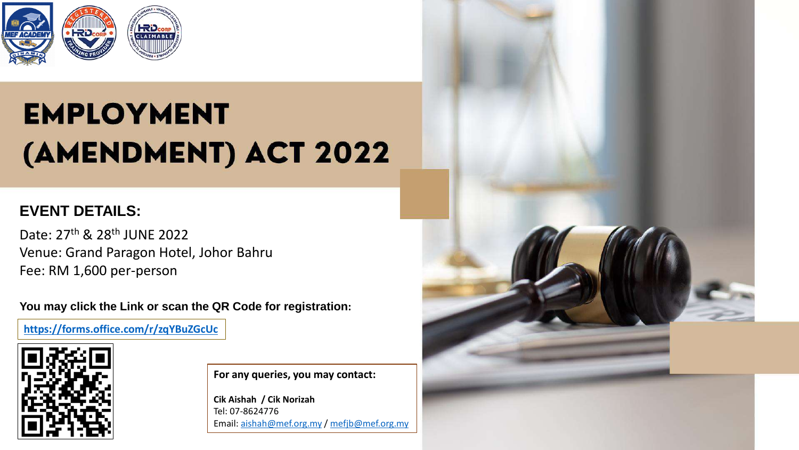

# **EMPLOYMENT** (AMENDMENT) ACT 2022

### **EVENT DETAILS:**

Date: 27<sup>th</sup> & 28<sup>th</sup> JUNE 2022 Venue: Grand Paragon Hotel, Johor Bahru Fee: RM 1,600 per-person

**You may click the Link or scan the QR Code for registration:**

**<https://forms.office.com/r/zqYBuZGcUc>**



**For any queries, you may contact:**

**Cik Aishah / Cik Norizah** Tel: 07-8624776 Email: [aishah@mef.org.my](mailto:aishah@mef.org.my) / [mefjb@mef.org.my](mailto:mefjb@mef.org.my)

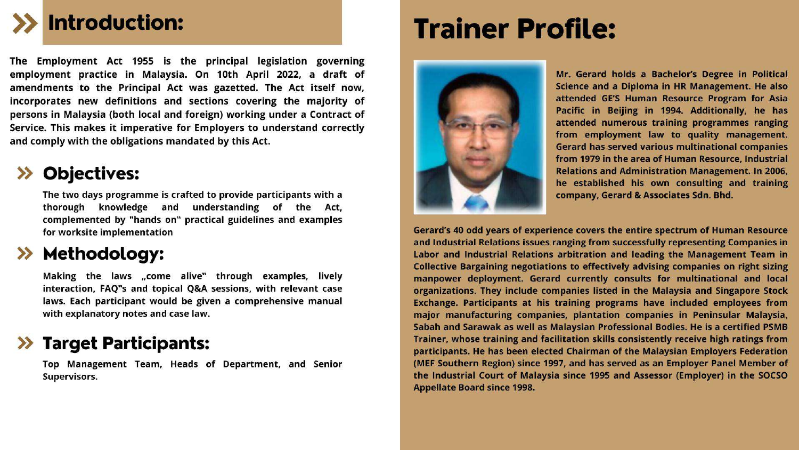# **Introduction:**

The Employment Act 1955 is the principal legislation governing employment practice in Malaysia. On 10th April 2022, a draft of amendments to the Principal Act was gazetted. The Act itself now, incorporates new definitions and sections covering the majority of persons in Malaysia (both local and foreign) working under a Contract of Service. This makes it imperative for Employers to understand correctly and comply with the obligations mandated by this Act.

## **Objectives:**

The two days programme is crafted to provide participants with a thorough knowledge and understanding of the Act, complemented by "hands on" practical guidelines and examples for worksite implementation

## Methodology:

Making the laws "come alive" through examples, lively interaction, FAQ"s and topical Q&A sessions, with relevant case laws. Each participant would be given a comprehensive manual with explanatory notes and case law.

### >> Target Participants:

Top Management Team, Heads of Department, and Senior Supervisors.

# **Trainer Profile:**



Mr. Gerard holds a Bachelor's Degree in Political Science and a Diploma in HR Management. He also attended GE'S Human Resource Program for Asia Pacific in Beijing in 1994. Additionally, he has attended numerous training programmes ranging from employment law to quality management. **Gerard has served various multinational companies** from 1979 in the area of Human Resource, Industrial **Relations and Administration Management. In 2006,** he established his own consulting and training company, Gerard & Associates Sdn. Bhd.

Gerard's 40 odd years of experience covers the entire spectrum of Human Resource and Industrial Relations issues ranging from successfully representing Companies in Labor and Industrial Relations arbitration and leading the Management Team in Collective Bargaining negotiations to effectively advising companies on right sizing manpower deployment. Gerard currently consults for multinational and local organizations. They include companies listed in the Malaysia and Singapore Stock Exchange. Participants at his training programs have included employees from major manufacturing companies, plantation companies in Peninsular Malaysia, Sabah and Sarawak as well as Malaysian Professional Bodies. He is a certified PSMB Trainer, whose training and facilitation skills consistently receive high ratings from participants. He has been elected Chairman of the Malaysian Employers Federation (MEF Southern Region) since 1997, and has served as an Employer Panel Member of the Industrial Court of Malaysia since 1995 and Assessor (Employer) in the SOCSO **Appellate Board since 1998.**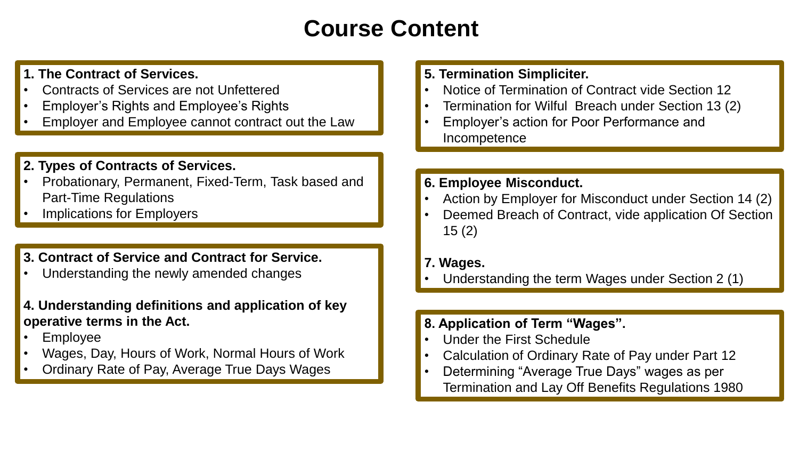## **Course Content**

#### **1. The Contract of Services.**

- Contracts of Services are not Unfettered
- Employer's Rights and Employee's Rights
- Employer and Employee cannot contract out the Law

#### **2. Types of Contracts of Services.**

- Probationary, Permanent, Fixed-Term, Task based and Part-Time Regulations
- Implications for Employers

#### **3. Contract of Service and Contract for Service.**

- Understanding the newly amended changes
- **4. Understanding definitions and application of key operative terms in the Act.**
- Employee
- Wages, Day, Hours of Work, Normal Hours of Work
- Ordinary Rate of Pay, Average True Days Wages

#### **5. Termination Simpliciter.**

- Notice of Termination of Contract vide Section 12
- Termination for Wilful Breach under Section 13 (2)
- Employer's action for Poor Performance and Incompetence

#### **6. Employee Misconduct.**

- Action by Employer for Misconduct under Section 14 (2)
- Deemed Breach of Contract, vide application Of Section 15 (2)

#### **7. Wages.**

• Understanding the term Wages under Section 2 (1)

#### **8. Application of Term "Wages".**

- Under the First Schedule
- Calculation of Ordinary Rate of Pay under Part 12
- Determining "Average True Days" wages as per Termination and Lay Off Benefits Regulations 1980